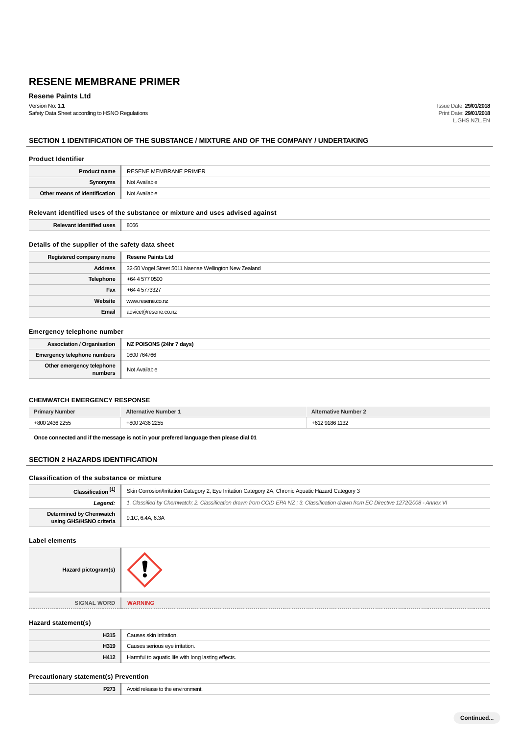**Resene Paints Ltd**

Version No: **1.1** Safety Data Sheet according to HSNO Regulations Issue Date: **29/01/2018** Print Date: **29/01/2018** L.GHS.NZL.EN

## **SECTION 1 IDENTIFICATION OF THE SUBSTANCE / MIXTURE AND OF THE COMPANY / UNDERTAKING**

## **Product Identifier**

| <b>Product name</b>           | RESENE MEMBRANE PRIMER |
|-------------------------------|------------------------|
| Synonyms                      | Not Available          |
| Other means of identification | Not Available          |

## **Relevant identified uses of the substance or mixture and uses advised against**

**Relevant identified uses** 8066

## **Details of the supplier of the safety data sheet**

| Registered company name | <b>Resene Paints Ltd</b>                              |
|-------------------------|-------------------------------------------------------|
| <b>Address</b>          | 32-50 Vogel Street 5011 Naenae Wellington New Zealand |
| Telephone               | +64 4 577 0500                                        |
| Fax                     | +64 4 5773327                                         |
| Website                 | www.resene.co.nz                                      |
| Email                   | advice@resene.co.nz                                   |

## **Emergency telephone number**

| Association / Organisation           | NZ POISONS (24hr 7 days) |
|--------------------------------------|--------------------------|
| <b>Emergency telephone numbers</b>   | 0800 764766              |
| Other emergency telephone<br>numbers | Not Available            |

## **CHEMWATCH EMERGENCY RESPONSE**

| Prim.<br>. | lumber<br>.ative | Number |
|------------|------------------|--------|
|            | $\Omega$         |        |

**Once connected and if the message is not in your prefered language then please dial 01**

## **SECTION 2 HAZARDS IDENTIFICATION**

## **Classification of the substance or mixture**

| Classification <sup>[1]</sup>                      | Skin Corrosion/Irritation Category 2, Eye Irritation Category 2A, Chronic Aquatic Hazard Category 3                                 |  |
|----------------------------------------------------|-------------------------------------------------------------------------------------------------------------------------------------|--|
| Leaend:                                            | . Classified by Chemwatch; 2. Classification drawn from CCID EPA NZ; 3. Classification drawn from EC Directive 1272/2008 - Annex VI |  |
| Determined by Chemwatch<br>using GHS/HSNO criteria | 9.1C, 6.4A, 6.3A                                                                                                                    |  |

## **Label elements**

| Hazard pictogram(s)          |                |
|------------------------------|----------------|
|                              |                |
| <b>SIGNAL WORD</b><br>■ 日本日本 | <b>WARNING</b> |

## **Hazard statement(s)**

| H315 | Causes skin irritation.                            |
|------|----------------------------------------------------|
| H319 | Causes serious eye irritation.                     |
| H412 | Harmful to aquatic life with long lasting effects. |

## **Precautionary statement(s) Prevention**

|  | <b>P273</b> Avoid release to the environment. |
|--|-----------------------------------------------|
|--|-----------------------------------------------|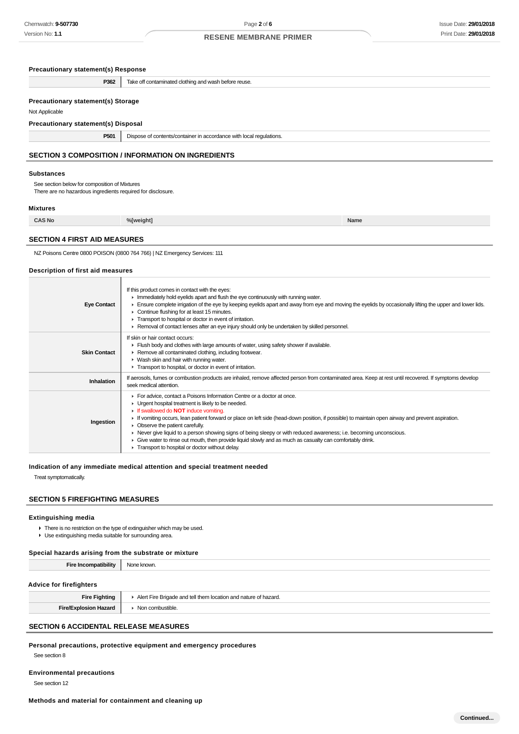| <b>Precautionary statement(s) Response</b>                                                                                                           |                                                                                                                                                                                                                                                                                                                                                                                                                                                                                                                                                                                                                                                          |      |
|------------------------------------------------------------------------------------------------------------------------------------------------------|----------------------------------------------------------------------------------------------------------------------------------------------------------------------------------------------------------------------------------------------------------------------------------------------------------------------------------------------------------------------------------------------------------------------------------------------------------------------------------------------------------------------------------------------------------------------------------------------------------------------------------------------------------|------|
| P362                                                                                                                                                 | Take off contaminated clothing and wash before reuse.                                                                                                                                                                                                                                                                                                                                                                                                                                                                                                                                                                                                    |      |
| <b>Precautionary statement(s) Storage</b><br>Not Applicable<br>Precautionary statement(s) Disposal                                                   |                                                                                                                                                                                                                                                                                                                                                                                                                                                                                                                                                                                                                                                          |      |
| P501                                                                                                                                                 | Dispose of contents/container in accordance with local regulations.                                                                                                                                                                                                                                                                                                                                                                                                                                                                                                                                                                                      |      |
|                                                                                                                                                      | <b>SECTION 3 COMPOSITION / INFORMATION ON INGREDIENTS</b>                                                                                                                                                                                                                                                                                                                                                                                                                                                                                                                                                                                                |      |
| <b>Substances</b><br>See section below for composition of Mixtures<br>There are no hazardous ingredients required for disclosure.<br><b>Mixtures</b> |                                                                                                                                                                                                                                                                                                                                                                                                                                                                                                                                                                                                                                                          |      |
| <b>CAS No</b>                                                                                                                                        | %[weight]                                                                                                                                                                                                                                                                                                                                                                                                                                                                                                                                                                                                                                                | Name |
| <b>SECTION 4 FIRST AID MEASURES</b>                                                                                                                  |                                                                                                                                                                                                                                                                                                                                                                                                                                                                                                                                                                                                                                                          |      |
| Description of first aid measures                                                                                                                    | NZ Poisons Centre 0800 POISON (0800 764 766)   NZ Emergency Services: 111                                                                                                                                                                                                                                                                                                                                                                                                                                                                                                                                                                                |      |
| <b>Eye Contact</b>                                                                                                                                   | If this product comes in contact with the eyes:<br>In Immediately hold eyelids apart and flush the eye continuously with running water.<br>Ensure complete irrigation of the eye by keeping eyelids apart and away from eye and moving the eyelids by occasionally lifting the upper and lower lids.<br>• Continue flushing for at least 15 minutes.<br>Transport to hospital or doctor in event of irritation.<br>► Removal of contact lenses after an eye injury should only be undertaken by skilled personnel.                                                                                                                                       |      |
| <b>Skin Contact</b>                                                                                                                                  | If skin or hair contact occurs:<br>Fiush body and clothes with large amounts of water, using safety shower if available.<br>Remove all contaminated clothing, including footwear.<br>• Wash skin and hair with running water.<br>Transport to hospital, or doctor in event of irritation.                                                                                                                                                                                                                                                                                                                                                                |      |
| Inhalation                                                                                                                                           | If aerosols, fumes or combustion products are inhaled, remove affected person from contaminated area. Keep at rest until recovered. If symptoms develop<br>seek medical attention.                                                                                                                                                                                                                                                                                                                                                                                                                                                                       |      |
| Ingestion                                                                                                                                            | For advice, contact a Poisons Information Centre or a doctor at once.<br>• Urgent hospital treatment is likely to be needed.<br>If swallowed do <b>NOT</b> induce vomiting.<br>If vomiting occurs, lean patient forward or place on left side (head-down position, if possible) to maintain open airway and prevent aspiration.<br>• Observe the patient carefully.<br>► Never give liquid to a person showing signs of being sleepy or with reduced awareness; i.e. becoming unconscious.<br>Give water to rinse out mouth, then provide liquid slowly and as much as casualty can comfortably drink.<br>Transport to hospital or doctor without delay. |      |

#### **Indication of any immediate medical attention and special treatment needed**

Treat symptomatically.

## **SECTION 5 FIREFIGHTING MEASURES**

## **Extinguishing media**

There is no restriction on the type of extinguisher which may be used. Use extinguishing media suitable for surrounding area.

## **Special hazards arising from the substrate or mixture**

| <b>Fire Incompatibility</b>    | None known.                                                     |
|--------------------------------|-----------------------------------------------------------------|
| <b>Advice for firefighters</b> |                                                                 |
| <b>Fire Fighting</b>           | Alert Fire Brigade and tell them location and nature of hazard. |
| <b>Fire/Explosion Hazard</b>   | • Non combustible.                                              |

## **SECTION 6 ACCIDENTAL RELEASE MEASURES**

**Personal precautions, protective equipment and emergency procedures**

See section 8

**Environmental precautions**

See section 12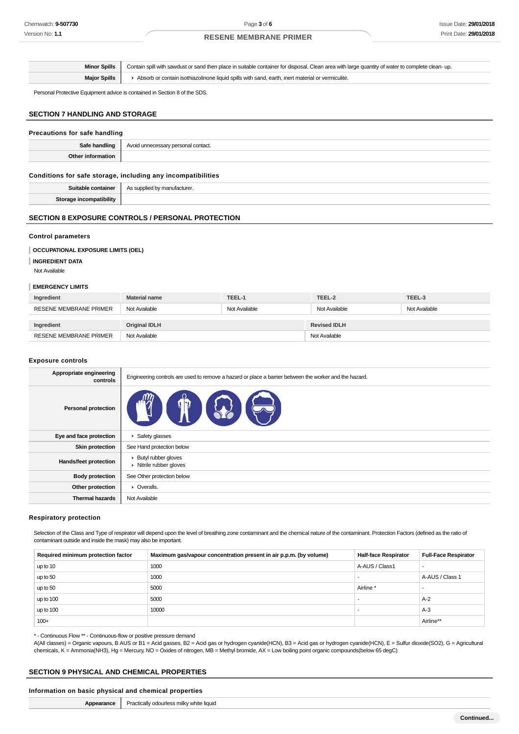|                     | Minor Spills   Contain spill with sawdust or sand then place in suitable container for disposal. Clean area with large quantity of water to complete clean- up. |
|---------------------|-----------------------------------------------------------------------------------------------------------------------------------------------------------------|
| <b>Major Spills</b> | Absorb or contain isothiazolinone liquid spills with sand, earth, inert material or vermiculite.                                                                |

Personal Protective Equipment advice is contained in Section 8 of the SDS.

#### **SECTION 7 HANDLING AND STORAGE**

| Precautions for safe handling |                                                     |
|-------------------------------|-----------------------------------------------------|
|                               | Safe handling   Avoid unnecessary personal contact. |
| Other information             |                                                     |
|                               |                                                     |

## **Conditions for safe storage, including any incompatibilities**

| <b>Suiter</b><br>ontaineı      | $A \cap C$ $\cup$<br>utacturer.<br>manı |
|--------------------------------|-----------------------------------------|
| C <sub>form</sub><br>atibility |                                         |

## **SECTION 8 EXPOSURE CONTROLS / PERSONAL PROTECTION**

#### **Control parameters**

#### **OCCUPATIONAL EXPOSURE LIMITS (OEL)**

**INGREDIENT DATA**

Not Available

## **EMERGENCY LIMITS**

| Ingredient                    | <b>Material name</b> | TEEL-1        | TEEL-2              | TEEL-3        |
|-------------------------------|----------------------|---------------|---------------------|---------------|
| <b>RESENE MEMBRANE PRIMER</b> | Not Available        | Not Available | Not Available       | Not Available |
|                               |                      |               |                     |               |
| Ingredient                    | <b>Original IDLH</b> |               | <b>Revised IDLH</b> |               |
| <b>RESENE MEMBRANE PRIMER</b> | Not Available        |               | Not Available       |               |

#### **Exposure controls**

| Appropriate engineering<br>controls | Engineering controls are used to remove a hazard or place a barrier between the worker and the hazard. |
|-------------------------------------|--------------------------------------------------------------------------------------------------------|
| <b>Personal protection</b>          |                                                                                                        |
| Eye and face protection             | ▶ Safety glasses                                                                                       |
| <b>Skin protection</b>              | See Hand protection below                                                                              |
| Hands/feet protection               | ▶ Butyl rubber gloves<br>• Nitrile rubber gloves                                                       |
| <b>Body protection</b>              | See Other protection below                                                                             |
| Other protection                    | • Overalls.                                                                                            |
| <b>Thermal hazards</b>              | Not Available                                                                                          |

#### **Respiratory protection**

Selection of the Class and Type of respirator will depend upon the level of breathing zone contaminant and the chemical nature of the contaminant. Protection Factors (defined as the ratio of contaminant outside and inside the mask) may also be important.

| Required minimum protection factor | Maximum gas/vapour concentration present in air p.p.m. (by volume) | <b>Half-face Respirator</b> | <b>Full-Face Respirator</b> |
|------------------------------------|--------------------------------------------------------------------|-----------------------------|-----------------------------|
| up to 10                           | 1000                                                               | A-AUS / Class1              |                             |
| up to 50                           | 1000                                                               |                             | A-AUS / Class 1             |
| up to 50                           | 5000                                                               | Airline                     |                             |
| up to 100                          | 5000                                                               |                             | $A-2$                       |
| up to 100                          | 10000                                                              |                             | $A-3$                       |
| $100+$                             |                                                                    |                             | Airline**                   |

\* - Continuous Flow \*\* - Continuous-flow or positive pressure demand

A(All classes) = Organic vapours, B AUS or B1 = Acid gasses, B2 = Acid gas or hydrogen cyanide(HCN), B3 = Acid gas or hydrogen cyanide(HCN), E = Sulfur dioxide(SO2), G = Agricultural chemicals, K = Ammonia(NH3), Hg = Mercury, NO = Oxides of nitrogen, MB = Methyl bromide, AX = Low boiling point organic compounds(below 65 degC)

## **SECTION 9 PHYSICAL AND CHEMICAL PROPERTIES**

## **Information on basic physical and chemical properties**

|  | <b>Appearance</b>   Practically odourless milky white liquid |
|--|--------------------------------------------------------------|
|--|--------------------------------------------------------------|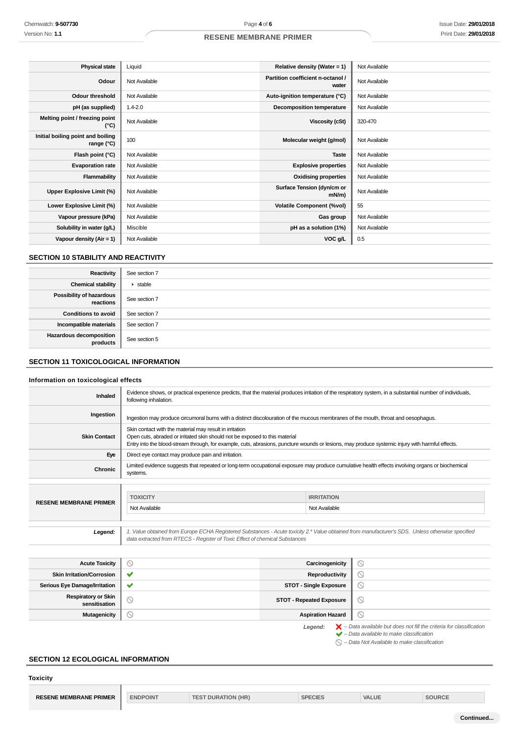| <b>Physical state</b>                           | Liquid        | Relative density (Water = 1)               | Not Available |
|-------------------------------------------------|---------------|--------------------------------------------|---------------|
| Odour                                           | Not Available | Partition coefficient n-octanol /<br>water | Not Available |
| <b>Odour threshold</b>                          | Not Available | Auto-ignition temperature (°C)             | Not Available |
| pH (as supplied)                                | $1.4 - 2.0$   | <b>Decomposition temperature</b>           | Not Available |
| Melting point / freezing point<br>(°C)          | Not Available | Viscosity (cSt)                            | 320-470       |
| Initial boiling point and boiling<br>range (°C) | 100           | Molecular weight (g/mol)                   | Not Available |
| Flash point (°C)                                | Not Available | <b>Taste</b>                               | Not Available |
| <b>Evaporation rate</b>                         | Not Available | <b>Explosive properties</b>                | Not Available |
| Flammability                                    | Not Available | <b>Oxidising properties</b>                | Not Available |
| Upper Explosive Limit (%)                       | Not Available | Surface Tension (dyn/cm or<br>mN/m         | Not Available |
| Lower Explosive Limit (%)                       | Not Available | <b>Volatile Component (%vol)</b>           | 55            |
| Vapour pressure (kPa)                           | Not Available | Gas group                                  | Not Available |
| Solubility in water (g/L)                       | Miscible      | pH as a solution (1%)                      | Not Available |
| Vapour density $(Air = 1)$                      | Not Available | VOC g/L                                    | 0.5           |

## **SECTION 10 STABILITY AND REACTIVITY**

| Reactivity                                 | See section 7           |
|--------------------------------------------|-------------------------|
| <b>Chemical stability</b>                  | $\triangleright$ stable |
| Possibility of hazardous<br>reactions      | See section 7           |
| <b>Conditions to avoid</b>                 | See section 7           |
| Incompatible materials                     | See section 7           |
| <b>Hazardous decomposition</b><br>products | See section 5           |

## **SECTION 11 TOXICOLOGICAL INFORMATION**

## **Information on toxicological effects**

| <b>Inhaled</b>                   | Evidence shows, or practical experience predicts, that the material produces irritation of the respiratory system, in a substantial number of individuals,<br>following inhalation.                                             |                                                                                                                                                                                                                                 |                               |   |
|----------------------------------|---------------------------------------------------------------------------------------------------------------------------------------------------------------------------------------------------------------------------------|---------------------------------------------------------------------------------------------------------------------------------------------------------------------------------------------------------------------------------|-------------------------------|---|
| Ingestion                        | Ingestion may produce circumoral burns with a distinct discolouration of the mucous membranes of the mouth, throat and oesophagus.                                                                                              |                                                                                                                                                                                                                                 |                               |   |
| <b>Skin Contact</b>              | Skin contact with the material may result in irritation                                                                                                                                                                         | Open cuts, abraded or irritated skin should not be exposed to this material<br>Entry into the blood-stream through, for example, cuts, abrasions, puncture wounds or lesions, may produce systemic injury with harmful effects. |                               |   |
| Eye                              | Direct eye contact may produce pain and irritation.                                                                                                                                                                             |                                                                                                                                                                                                                                 |                               |   |
| Chronic                          | systems.                                                                                                                                                                                                                        | Limited evidence suggests that repeated or long-term occupational exposure may produce cumulative health effects involving organs or biochemical                                                                                |                               |   |
|                                  |                                                                                                                                                                                                                                 |                                                                                                                                                                                                                                 |                               |   |
| <b>RESENE MEMBRANE PRIMER</b>    | <b>TOXICITY</b>                                                                                                                                                                                                                 |                                                                                                                                                                                                                                 | <b>IRRITATION</b>             |   |
|                                  | Not Available                                                                                                                                                                                                                   |                                                                                                                                                                                                                                 | Not Available                 |   |
| Legend:                          | 1. Value obtained from Europe ECHA Registered Substances - Acute toxicity 2.* Value obtained from manufacturer's SDS. Unless otherwise specified<br>data extracted from RTECS - Register of Toxic Effect of chemical Substances |                                                                                                                                                                                                                                 |                               |   |
|                                  |                                                                                                                                                                                                                                 |                                                                                                                                                                                                                                 |                               |   |
| <b>Acute Toxicity</b>            | $\circledcirc$                                                                                                                                                                                                                  |                                                                                                                                                                                                                                 | Carcinogenicity               | ◎ |
| <b>Skin Irritation/Corrosion</b> | ✔                                                                                                                                                                                                                               |                                                                                                                                                                                                                                 | Reproductivity                | N |
| Serious Eye Damage/Irritation    |                                                                                                                                                                                                                                 |                                                                                                                                                                                                                                 | <b>STOT - Single Exposure</b> | ↘ |

**STOT - Repeated Exposure** 

**Mutagenicity Aspiration Hazard** 

# **SECTION 12 ECOLOGICAL INFORMATION**

**Respiratory or Skin**

Legend:  $\blacktriangleright$  - Data available but does not fill the criteria for classification<br>  $\blacktriangleright$  - Data available to make classification  $\bigcirc$  – Data Not Available to make classification

 $\odot$  $\odot$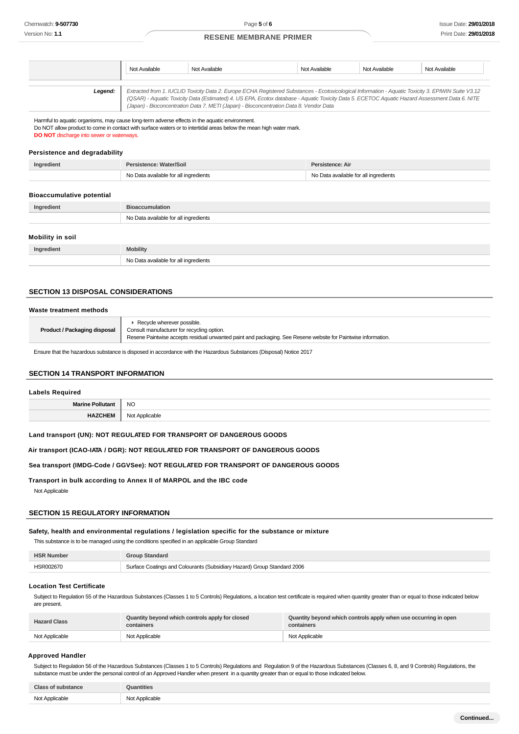|         | Not Available | Not Available                                                                                                                                                                                                                                                                                                                                                                                   | Not Available | Not Available | Not Available |
|---------|---------------|-------------------------------------------------------------------------------------------------------------------------------------------------------------------------------------------------------------------------------------------------------------------------------------------------------------------------------------------------------------------------------------------------|---------------|---------------|---------------|
| Legend: |               | Extracted from 1. IUCLID Toxicity Data 2. Europe ECHA Registered Substances - Ecotoxicological Information - Aquatic Toxicity 3. EPIWIN Suite V3.12<br>(QSAR) - Aquatic Toxicity Data (Estimated) 4. US EPA, Ecotox database - Aquatic Toxicity Data 5. ECETOC Aquatic Hazard Assessment Data 6. NITE<br>(Japan) - Bioconcentration Data 7. METI (Japan) - Bioconcentration Data 8. Vendor Data |               |               |               |

Harmful to aquatic organisms, may cause long-term adverse effects in the aquatic environment.

Do NOT allow product to come in contact with surface waters or to intertidal areas below the mean high water mark. **DO NOT** discharge into sewer or waterways.

#### **Persistence and degradability**

| Ingredient | rsistence: Water/Soil                 | Persistence: Air                      |
|------------|---------------------------------------|---------------------------------------|
|            | No Data available for all ingredients | No Data available for all ingredients |

#### **Bioaccumulative potential**

| Ingredient       | <b>Bioaccumulation</b>                |
|------------------|---------------------------------------|
|                  | No Data available for all ingredients |
| Mobility in soil |                                       |
|                  |                                       |

| Ingredient | <b>Mobility</b>                                   |
|------------|---------------------------------------------------|
|            | N <sub>0</sub><br>l ingredients<br>a mwiinhin tar |

## **SECTION 13 DISPOSAL CONSIDERATIONS**

#### **Waste treatment methods**

| Product / Packaging disposal | ▶ Recycle wherever possible.<br>Consult manufacturer for recycling option.<br>Resene Paintwise accepts residual unwanted paint and packaging. See Resene website for Paintwise information. |
|------------------------------|---------------------------------------------------------------------------------------------------------------------------------------------------------------------------------------------|
|------------------------------|---------------------------------------------------------------------------------------------------------------------------------------------------------------------------------------------|

Ensure that the hazardous substance is disposed in accordance with the Hazardous Substances (Disposal) Notice 2017

#### **SECTION 14 TRANSPORT INFORMATION**

#### **Labels Required**

| <b>NC</b><br>__ |
|-----------------|
| .               |

**Land transport (UN): NOT REGULATED FOR TRANSPORT OF DANGEROUS GOODS**

**Air transport (ICAO-IATA / DGR): NOT REGULATED FOR TRANSPORT OF DANGEROUS GOODS**

## **Sea transport (IMDG-Code / GGVSee): NOT REGULATED FOR TRANSPORT OF DANGEROUS GOODS**

**Transport in bulk according to Annex II of MARPOL and the IBC code** Not Applicable

## **SECTION 15 REGULATORY INFORMATION**

### **Safety, health and environmental regulations / legislation specific for the substance or mixture**

This substance is to be managed using the conditions specified in an applicable Group Standard

| <b>HSR</b><br>Number  |                                                                         |
|-----------------------|-------------------------------------------------------------------------|
| <b>HSR002670</b><br>. | Surface Coatings and Colourants (Subsidiary Hazard) Group Standard 2006 |

### **Location Test Certificate**

Subject to Regulation 55 of the Hazardous Substances (Classes 1 to 5 Controls) Regulations, a location test certificate is required when quantity greater than or equal to those indicated below are present.

| <b>Hazard Class</b> | Quantity beyond which controls apply for closed<br>containers | Quantity beyond which controls apply when use occurring in open<br>containers |
|---------------------|---------------------------------------------------------------|-------------------------------------------------------------------------------|
| Not Applicable      | Not Applicable                                                | Not Applicable                                                                |

#### **Approved Handler**

Subject to Regulation 56 of the Hazardous Substances (Classes 1 to 5 Controls) Regulations and Regulation 9 of the Hazardous Substances (Classes 6, 8, and 9 Controls) Regulations, the substance must be under the personal control of an Approved Handler when present in a quantity greater than or equal to those indicated below.

| <b>Class of substance</b> | <b>Quantities</b> |
|---------------------------|-------------------|
| Not Applicable            | Not Applicable    |